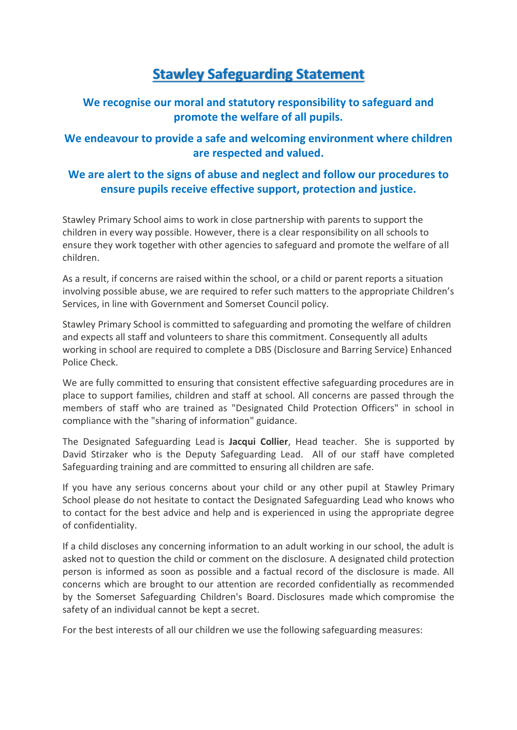# **Stawley Safeguarding Statement**

## **We recognise our moral and statutory responsibility to safeguard and promote the welfare of all pupils.**

## **We endeavour to provide a safe and welcoming environment where children are respected and valued.**

## **We are alert to the signs of abuse and neglect and follow our procedures to ensure pupils receive effective support, protection and justice.**

Stawley Primary School aims to work in close partnership with parents to support the children in every way possible. However, there is a clear responsibility on all schools to ensure they work together with other agencies to safeguard and promote the welfare of all children.

As a result, if concerns are raised within the school, or a child or parent reports a situation involving possible abuse, we are required to refer such matters to the appropriate Children's Services, in line with Government and Somerset Council policy.

Stawley Primary School is committed to safeguarding and promoting the welfare of children and expects all staff and volunteers to share this commitment. Consequently all adults working in school are required to complete a DBS (Disclosure and Barring Service) Enhanced Police Check.

We are fully committed to ensuring that consistent effective safeguarding procedures are in place to support families, children and staff at school. All concerns are passed through the members of staff who are trained as "Designated Child Protection Officers" in school in compliance with the "sharing of information" guidance.

The Designated Safeguarding Lead is **Jacqui Collier**, Head teacher. She is supported by David Stirzaker who is the Deputy Safeguarding Lead. All of our staff have completed Safeguarding training and are committed to ensuring all children are safe.

If you have any serious concerns about your child or any other pupil at Stawley Primary School please do not hesitate to contact the Designated Safeguarding Lead who knows who to contact for the best advice and help and is experienced in using the appropriate degree of confidentiality.

If a child discloses any concerning information to an adult working in our school, the adult is asked not to question the child or comment on the disclosure. A designated child protection person is informed as soon as possible and a factual record of the disclosure is made. All concerns which are brought to our attention are recorded confidentially as recommended by the Somerset Safeguarding Children's Board. Disclosures made which compromise the safety of an individual cannot be kept a secret.

For the best interests of all our children we use the following safeguarding measures: